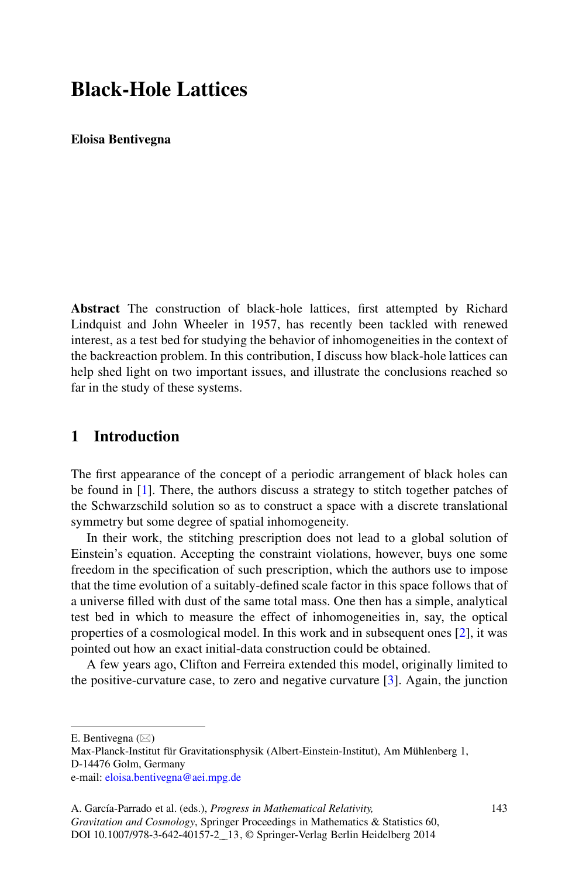# **Black-Hole Lattices**

**Eloisa Bentivegna**

**Abstract** The construction of black-hole lattices, first attempted by Richard Lindquist and John Wheeler in 1957, has recently been tackled with renewed interest, as a test bed for studying the behavior of inhomogeneities in the context of the backreaction problem. In this contribution, I discuss how black-hole lattices can help shed light on two important issues, and illustrate the conclusions reached so far in the study of these systems.

### **1 Introduction**

The first appearance of the concept of a periodic arrangement of black holes can be found in [\[1\]](#page-3-0). There, the authors discuss a strategy to stitch together patches of the Schwarzschild solution so as to construct a space with a discrete translational symmetry but some degree of spatial inhomogeneity.

In their work, the stitching prescription does not lead to a global solution of Einstein's equation. Accepting the constraint violations, however, buys one some freedom in the specification of such prescription, which the authors use to impose that the time evolution of a suitably-defined scale factor in this space follows that of a universe filled with dust of the same total mass. One then has a simple, analytical test bed in which to measure the effect of inhomogeneities in, say, the optical properties of a cosmological model. In this work and in subsequent ones [\[2\]](#page-3-1), it was pointed out how an exact initial-data construction could be obtained.

A few years ago, Clifton and Ferreira extended this model, originally limited to the positive-curvature case, to zero and negative curvature [\[3\]](#page-3-2). Again, the junction

E. Bentivegna  $(\boxtimes)$ 

Max-Planck-Institut für Gravitationsphysik (Albert-Einstein-Institut), Am Mühlenberg 1, D-14476 Golm, Germany e-mail: [eloisa.bentivegna@aei.mpg.de](mailto:eloisa.bentivegna@aei.mpg.de)

A. García-Parrado et al. (eds.), *Progress in Mathematical Relativity, Gravitation and Cosmology*, Springer Proceedings in Mathematics & Statistics 60, DOI 10.1007/978-3-642-40157-2\_\_13, © Springer-Verlag Berlin Heidelberg 2014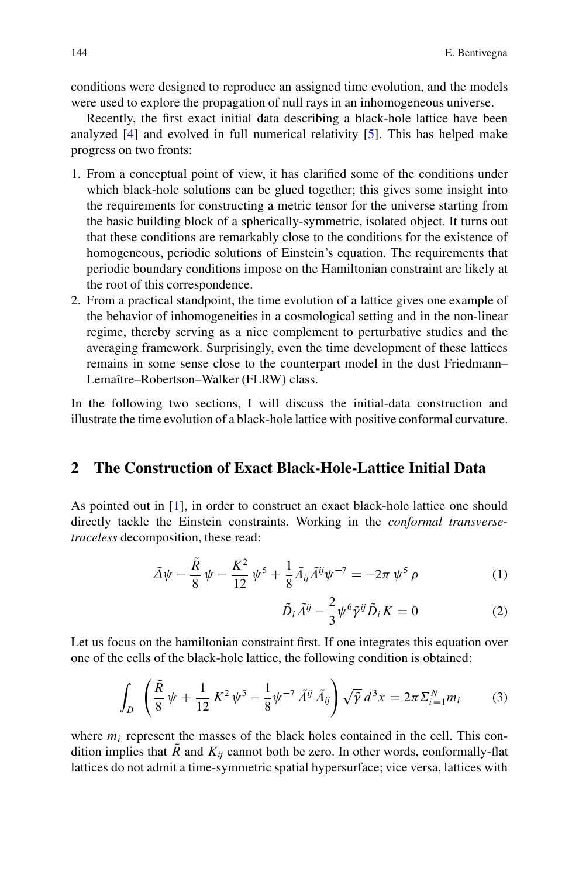conditions were designed to reproduce an assigned time evolution, and the models were used to explore the propagation of null rays in an inhomogeneous universe.

Recently, the first exact initial data describing a black-hole lattice have been analyzed [\[4\]](#page-3-3) and evolved in full numerical relativity [\[5\]](#page-3-4). This has helped make progress on two fronts:

- 1. From a conceptual point of view, it has clarified some of the conditions under which black-hole solutions can be glued together; this gives some insight into the requirements for constructing a metric tensor for the universe starting from the basic building block of a spherically-symmetric, isolated object. It turns out that these conditions are remarkably close to the conditions for the existence of homogeneous, periodic solutions of Einstein's equation. The requirements that periodic boundary conditions impose on the Hamiltonian constraint are likely at the root of this correspondence.
- 2. From a practical standpoint, the time evolution of a lattice gives one example of the behavior of inhomogeneities in a cosmological setting and in the non-linear regime, thereby serving as a nice complement to perturbative studies and the averaging framework. Surprisingly, even the time development of these lattices remains in some sense close to the counterpart model in the dust Friedmann– Lemaître–Robertson–Walker (FLRW) class.

In the following two sections, I will discuss the initial-data construction and illustrate the time evolution of a black-hole lattice with positive conformal curvature.

#### **2 The Construction of Exact Black-Hole-Lattice Initial Data**

As pointed out in [\[1\]](#page-3-0), in order to construct an exact black-hole lattice one should directly tackle the Einstein constraints. Working in the *conformal transversetraceless* decomposition, these read:

$$
\tilde{\Delta}\psi - \frac{\tilde{R}}{8}\psi - \frac{K^2}{12}\psi^5 + \frac{1}{8}\tilde{A}_{ij}\tilde{A}^{ij}\psi^{-7} = -2\pi\psi^5\rho
$$
 (1)

$$
\tilde{D}_i \tilde{A}^{ij} - \frac{2}{3} \psi^6 \tilde{\gamma}^{ij} \tilde{D}_i K = 0 \tag{2}
$$

Let us focus on the hamiltonian constraint first. If one integrates this equation over one of the cells of the black-hole lattice, the following condition is obtained:

<span id="page-1-0"></span>
$$
\int_{D} \left( \frac{\tilde{R}}{8} \psi + \frac{1}{12} K^{2} \psi^{5} - \frac{1}{8} \psi^{-7} \tilde{A}^{ij} \tilde{A}_{ij} \right) \sqrt{\tilde{\gamma}} d^{3} x = 2\pi \Sigma_{i=1}^{N} m_{i} \tag{3}
$$

where  $m_i$  represent the masses of the black holes contained in the cell. This condition implies that  $\overline{R}$  and  $K_{ij}$  cannot both be zero. In other words, conformally-flat lattices do not admit a time-symmetric spatial hypersurface; vice versa, lattices with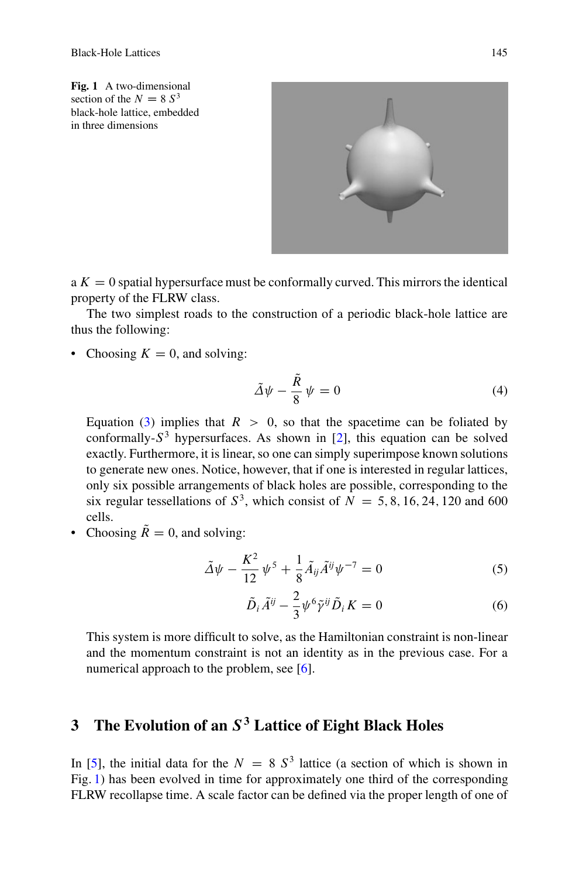<span id="page-2-0"></span>**Fig. 1** A two-dimensional section of the  $N = 8 S<sup>3</sup>$ black-hole lattice, embedded in three dimensions



 $a K = 0$  spatial hypersurface must be conformally curved. This mirrors the identical property of the FLRW class.

The two simplest roads to the construction of a periodic black-hole lattice are thus the following:

• Choosing  $K = 0$ , and solving:

$$
\tilde{\Delta}\psi - \frac{\tilde{R}}{8}\psi = 0\tag{4}
$$

Equation [\(3\)](#page-1-0) implies that  $R > 0$ , so that the spacetime can be foliated by conformally- $S<sup>3</sup>$  hypersurfaces. As shown in [\[2\]](#page-3-1), this equation can be solved exactly. Furthermore, it is linear, so one can simply superimpose known solutions to generate new ones. Notice, however, that if one is interested in regular lattices, only six possible arrangements of black holes are possible, corresponding to the six regular tessellations of  $S^3$ , which consist of  $N = 5, 8, 16, 24, 120$  and 600 cells.

• Choosing  $\tilde{R} = 0$ , and solving:

$$
\tilde{\Delta}\psi - \frac{K^2}{12}\psi^5 + \frac{1}{8}\tilde{A}_{ij}\tilde{A}^{ij}\psi^{-7} = 0
$$
\n(5)

$$
\tilde{D}_i \tilde{A}^{ij} - \frac{2}{3} \psi^6 \tilde{\gamma}^{ij} \tilde{D}_i K = 0 \tag{6}
$$

This system is more difficult to solve, as the Hamiltonian constraint is non-linear and the momentum constraint is not an identity as in the previous case. For a numerical approach to the problem, see [\[6\]](#page-3-5).

## **3 The Evolution of an** S<sup>3</sup> **Lattice of Eight Black Holes**

In [\[5\]](#page-3-4), the initial data for the  $N = 8 S<sup>3</sup>$  lattice (a section of which is shown in Fig. [1\)](#page-2-0) has been evolved in time for approximately one third of the corresponding FLRW recollapse time. A scale factor can be defined via the proper length of one of